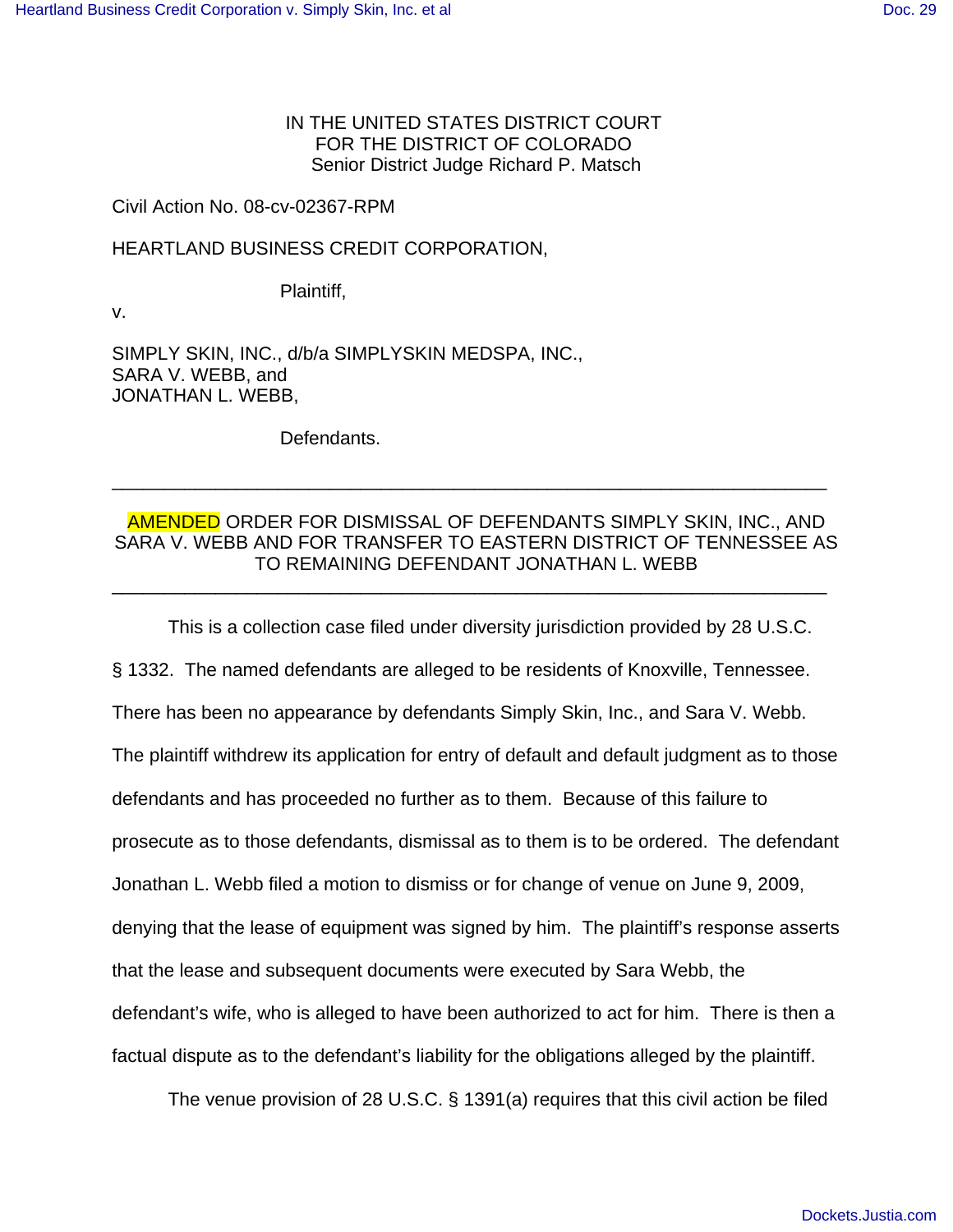IN THE UNITED STATES DISTRICT COURT FOR THE DISTRICT OF COLORADO Senior District Judge Richard P. Matsch

## Civil Action No. 08-cv-02367-RPM

## HEARTLAND BUSINESS CREDIT CORPORATION,

Plaintiff,

v.

SIMPLY SKIN, INC., d/b/a SIMPLYSKIN MEDSPA, INC., SARA V. WEBB, and JONATHAN L. WEBB,

Defendants.

## AMENDED ORDER FOR DISMISSAL OF DEFENDANTS SIMPLY SKIN, INC., AND SARA V. WEBB AND FOR TRANSFER TO EASTERN DISTRICT OF TENNESSEE AS TO REMAINING DEFENDANT JONATHAN L. WEBB \_\_\_\_\_\_\_\_\_\_\_\_\_\_\_\_\_\_\_\_\_\_\_\_\_\_\_\_\_\_\_\_\_\_\_\_\_\_\_\_\_\_\_\_\_\_\_\_\_\_\_\_\_\_\_\_\_\_\_\_\_\_\_\_\_\_\_\_\_

\_\_\_\_\_\_\_\_\_\_\_\_\_\_\_\_\_\_\_\_\_\_\_\_\_\_\_\_\_\_\_\_\_\_\_\_\_\_\_\_\_\_\_\_\_\_\_\_\_\_\_\_\_\_\_\_\_\_\_\_\_\_\_\_\_\_\_\_\_

This is a collection case filed under diversity jurisdiction provided by 28 U.S.C.

§ 1332. The named defendants are alleged to be residents of Knoxville, Tennessee.

There has been no appearance by defendants Simply Skin, Inc., and Sara V. Webb.

The plaintiff withdrew its application for entry of default and default judgment as to those

defendants and has proceeded no further as to them. Because of this failure to

prosecute as to those defendants, dismissal as to them is to be ordered. The defendant

Jonathan L. Webb filed a motion to dismiss or for change of venue on June 9, 2009,

denying that the lease of equipment was signed by him. The plaintiff's response asserts

that the lease and subsequent documents were executed by Sara Webb, the

defendant's wife, who is alleged to have been authorized to act for him. There is then a

factual dispute as to the defendant's liability for the obligations alleged by the plaintiff.

The venue provision of 28 U.S.C. § 1391(a) requires that this civil action be filed